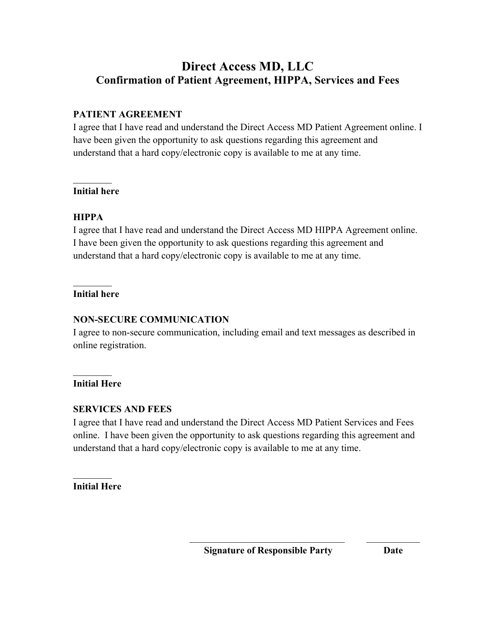## **Direct Access MD, LLC Confirmation of Patient Agreement, HIPPA, Services and Fees**

## **PATIENT AGREEMENT**

I agree that I have read and understand the Direct Access MD Patient Agreement online. I have been given the opportunity to ask questions regarding this agreement and understand that a hard copy/electronic copy is available to me at any time.

#### $\mathcal{L}_\text{max}$ **Initial here**

## **HIPPA**

I agree that I have read and understand the Direct Access MD HIPPA Agreement online. I have been given the opportunity to ask questions regarding this agreement and understand that a hard copy/electronic copy is available to me at any time.

#### $\frac{1}{2}$ **Initial here**

## **NON-SECURE COMMUNICATION**

I agree to non-secure communication, including email and text messages as described in online registration.

#### $\mathcal{L}_\text{max}$ **Initial Here**

#### **SERVICES AND FEES**

I agree that I have read and understand the Direct Access MD Patient Services and Fees online. I have been given the opportunity to ask questions regarding this agreement and understand that a hard copy/electronic copy is available to me at any time.

 $\mathcal{L}_\mathcal{L} = \mathcal{L}_\mathcal{L} = \mathcal{L}_\mathcal{L} = \mathcal{L}_\mathcal{L} = \mathcal{L}_\mathcal{L} = \mathcal{L}_\mathcal{L} = \mathcal{L}_\mathcal{L} = \mathcal{L}_\mathcal{L} = \mathcal{L}_\mathcal{L} = \mathcal{L}_\mathcal{L} = \mathcal{L}_\mathcal{L} = \mathcal{L}_\mathcal{L} = \mathcal{L}_\mathcal{L} = \mathcal{L}_\mathcal{L} = \mathcal{L}_\mathcal{L} = \mathcal{L}_\mathcal{L} = \mathcal{L}_\mathcal{L}$ 

 $\frac{1}{2}$ **Initial Here**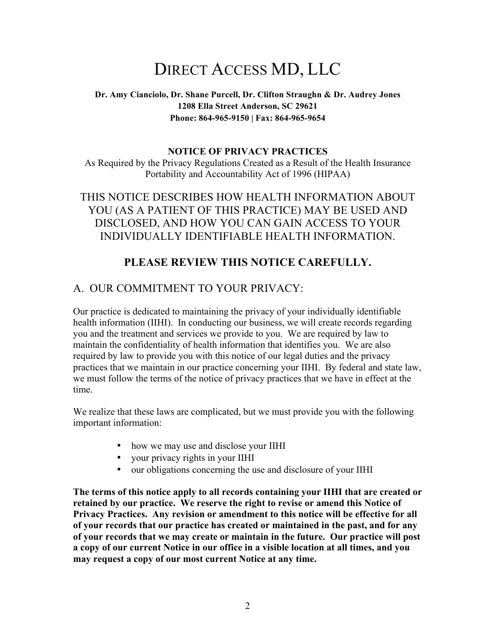# DIRECT ACCESS MD, LLC

#### **Dr. Amy Cianciolo, Dr. Shane Purcell, Dr. Clifton Straughn & Dr. Audrey Jones 1208 Ella Street Anderson, SC 29621 Phone: 864-965-9150 | Fax: 864-965-9654**

#### **NOTICE OF PRIVACY PRACTICES**

As Required by the Privacy Regulations Created as a Result of the Health Insurance Portability and Accountability Act of 1996 (HIPAA)

THIS NOTICE DESCRIBES HOW HEALTH INFORMATION ABOUT YOU (AS A PATIENT OF THIS PRACTICE) MAY BE USED AND DISCLOSED, AND HOW YOU CAN GAIN ACCESS TO YOUR INDIVIDUALLY IDENTIFIABLE HEALTH INFORMATION.

## **PLEASE REVIEW THIS NOTICE CAREFULLY.**

## A. OUR COMMITMENT TO YOUR PRIVACY:

Our practice is dedicated to maintaining the privacy of your individually identifiable health information (IIHI). In conducting our business, we will create records regarding you and the treatment and services we provide to you. We are required by law to maintain the confidentiality of health information that identifies you. We are also required by law to provide you with this notice of our legal duties and the privacy practices that we maintain in our practice concerning your IIHI. By federal and state law, we must follow the terms of the notice of privacy practices that we have in effect at the time.

We realize that these laws are complicated, but we must provide you with the following important information:

- how we may use and disclose your IIHI
- your privacy rights in your IIHI
- our obligations concerning the use and disclosure of your IIHI

**The terms of this notice apply to all records containing your IIHI that are created or retained by our practice. We reserve the right to revise or amend this Notice of Privacy Practices. Any revision or amendment to this notice will be effective for all of your records that our practice has created or maintained in the past, and for any of your records that we may create or maintain in the future. Our practice will post a copy of our current Notice in our office in a visible location at all times, and you may request a copy of our most current Notice at any time.**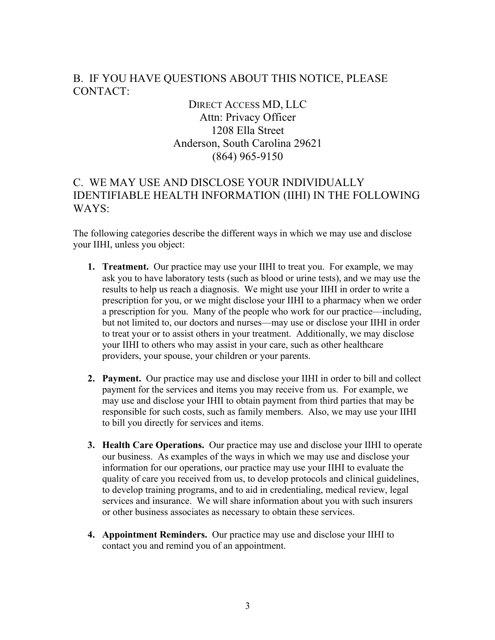## B. IF YOU HAVE QUESTIONS ABOUT THIS NOTICE, PLEASE CONTACT:

DIRECT ACCESS MD, LLC Attn: Privacy Officer 1208 Ella Street Anderson, South Carolina 29621 (864) 965-9150

## C. WE MAY USE AND DISCLOSE YOUR INDIVIDUALLY IDENTIFIABLE HEALTH INFORMATION (IIHI) IN THE FOLLOWING WAYS:

The following categories describe the different ways in which we may use and disclose your IIHI, unless you object:

- **1. Treatment.** Our practice may use your IIHI to treat you. For example, we may ask you to have laboratory tests (such as blood or urine tests), and we may use the results to help us reach a diagnosis. We might use your IIHI in order to write a prescription for you, or we might disclose your IIHI to a pharmacy when we order a prescription for you. Many of the people who work for our practice—including, but not limited to, our doctors and nurses—may use or disclose your IIHI in order to treat your or to assist others in your treatment. Additionally, we may disclose your IIHI to others who may assist in your care, such as other healthcare providers, your spouse, your children or your parents.
- **2. Payment.** Our practice may use and disclose your IIHI in order to bill and collect payment for the services and items you may receive from us. For example, we may use and disclose your IHII to obtain payment from third parties that may be responsible for such costs, such as family members. Also, we may use your IIHI to bill you directly for services and items.
- **3. Health Care Operations.** Our practice may use and disclose your IIHI to operate our business. As examples of the ways in which we may use and disclose your information for our operations, our practice may use your IIHI to evaluate the quality of care you received from us, to develop protocols and clinical guidelines, to develop training programs, and to aid in credentialing, medical review, legal services and insurance. We will share information about you with such insurers or other business associates as necessary to obtain these services.
- **4. Appointment Reminders.** Our practice may use and disclose your IIHI to contact you and remind you of an appointment.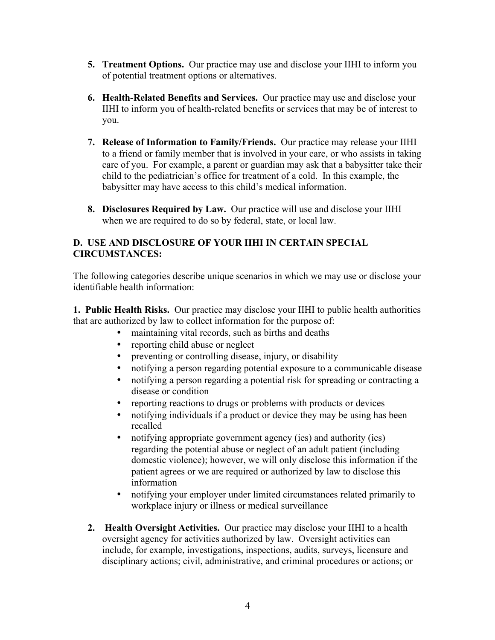- **5. Treatment Options.** Our practice may use and disclose your IIHI to inform you of potential treatment options or alternatives.
- **6. Health-Related Benefits and Services.** Our practice may use and disclose your IIHI to inform you of health-related benefits or services that may be of interest to you.
- **7. Release of Information to Family/Friends.** Our practice may release your IIHI to a friend or family member that is involved in your care, or who assists in taking care of you. For example, a parent or guardian may ask that a babysitter take their child to the pediatrician's office for treatment of a cold. In this example, the babysitter may have access to this child's medical information.
- **8. Disclosures Required by Law.** Our practice will use and disclose your IIHI when we are required to do so by federal, state, or local law.

#### **D. USE AND DISCLOSURE OF YOUR IIHI IN CERTAIN SPECIAL CIRCUMSTANCES:**

The following categories describe unique scenarios in which we may use or disclose your identifiable health information:

**1. Public Health Risks.** Our practice may disclose your IIHI to public health authorities that are authorized by law to collect information for the purpose of:

- maintaining vital records, such as births and deaths
- reporting child abuse or neglect
- preventing or controlling disease, injury, or disability
- notifying a person regarding potential exposure to a communicable disease
- notifying a person regarding a potential risk for spreading or contracting a disease or condition
- reporting reactions to drugs or problems with products or devices
- notifying individuals if a product or device they may be using has been recalled
- notifying appropriate government agency (ies) and authority (ies) regarding the potential abuse or neglect of an adult patient (including domestic violence); however, we will only disclose this information if the patient agrees or we are required or authorized by law to disclose this information
- notifying your employer under limited circumstances related primarily to workplace injury or illness or medical surveillance
- **2. Health Oversight Activities.** Our practice may disclose your IIHI to a health oversight agency for activities authorized by law. Oversight activities can include, for example, investigations, inspections, audits, surveys, licensure and disciplinary actions; civil, administrative, and criminal procedures or actions; or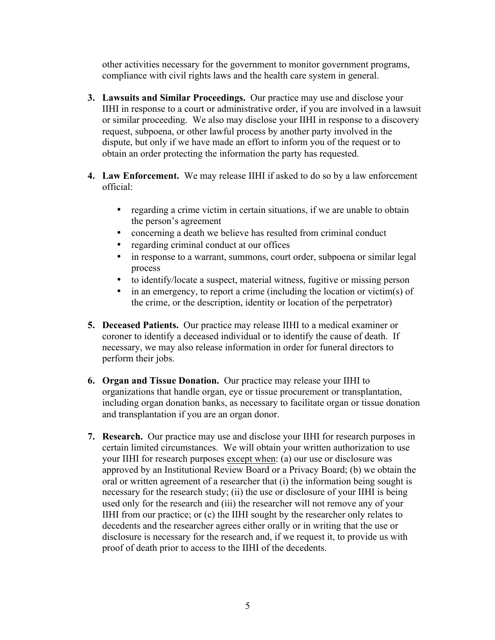other activities necessary for the government to monitor government programs, compliance with civil rights laws and the health care system in general.

- **3. Lawsuits and Similar Proceedings.** Our practice may use and disclose your IIHI in response to a court or administrative order, if you are involved in a lawsuit or similar proceeding. We also may disclose your IIHI in response to a discovery request, subpoena, or other lawful process by another party involved in the dispute, but only if we have made an effort to inform you of the request or to obtain an order protecting the information the party has requested.
- **4. Law Enforcement.** We may release IIHI if asked to do so by a law enforcement official:
	- regarding a crime victim in certain situations, if we are unable to obtain the person's agreement
	- concerning a death we believe has resulted from criminal conduct
	- regarding criminal conduct at our offices
	- in response to a warrant, summons, court order, subpoena or similar legal process
	- to identify/locate a suspect, material witness, fugitive or missing person
	- in an emergency, to report a crime (including the location or victim(s) of the crime, or the description, identity or location of the perpetrator)
- **5. Deceased Patients.** Our practice may release IIHI to a medical examiner or coroner to identify a deceased individual or to identify the cause of death. If necessary, we may also release information in order for funeral directors to perform their jobs.
- **6. Organ and Tissue Donation.** Our practice may release your IIHI to organizations that handle organ, eye or tissue procurement or transplantation, including organ donation banks, as necessary to facilitate organ or tissue donation and transplantation if you are an organ donor.
- **7. Research.** Our practice may use and disclose your IIHI for research purposes in certain limited circumstances. We will obtain your written authorization to use your IIHI for research purposes except when: (a) our use or disclosure was approved by an Institutional Review Board or a Privacy Board; (b) we obtain the oral or written agreement of a researcher that (i) the information being sought is necessary for the research study; (ii) the use or disclosure of your IIHI is being used only for the research and (iii) the researcher will not remove any of your IIHI from our practice; or (c) the IIHI sought by the researcher only relates to decedents and the researcher agrees either orally or in writing that the use or disclosure is necessary for the research and, if we request it, to provide us with proof of death prior to access to the IIHI of the decedents.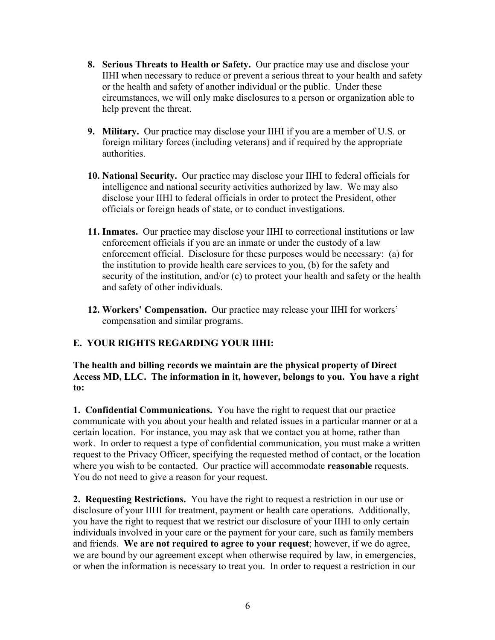- **8. Serious Threats to Health or Safety.** Our practice may use and disclose your IIHI when necessary to reduce or prevent a serious threat to your health and safety or the health and safety of another individual or the public. Under these circumstances, we will only make disclosures to a person or organization able to help prevent the threat.
- **9. Military.** Our practice may disclose your IIHI if you are a member of U.S. or foreign military forces (including veterans) and if required by the appropriate authorities.
- **10. National Security.** Our practice may disclose your IIHI to federal officials for intelligence and national security activities authorized by law. We may also disclose your IIHI to federal officials in order to protect the President, other officials or foreign heads of state, or to conduct investigations.
- **11. Inmates.** Our practice may disclose your IIHI to correctional institutions or law enforcement officials if you are an inmate or under the custody of a law enforcement official. Disclosure for these purposes would be necessary: (a) for the institution to provide health care services to you, (b) for the safety and security of the institution, and/or (c) to protect your health and safety or the health and safety of other individuals.
- **12. Workers' Compensation.** Our practice may release your IIHI for workers' compensation and similar programs.

#### **E. YOUR RIGHTS REGARDING YOUR IIHI:**

**The health and billing records we maintain are the physical property of Direct Access MD, LLC. The information in it, however, belongs to you. You have a right to:**

**1. Confidential Communications.** You have the right to request that our practice communicate with you about your health and related issues in a particular manner or at a certain location. For instance, you may ask that we contact you at home, rather than work. In order to request a type of confidential communication, you must make a written request to the Privacy Officer, specifying the requested method of contact, or the location where you wish to be contacted. Our practice will accommodate **reasonable** requests. You do not need to give a reason for your request.

**2. Requesting Restrictions.** You have the right to request a restriction in our use or disclosure of your IIHI for treatment, payment or health care operations. Additionally, you have the right to request that we restrict our disclosure of your IIHI to only certain individuals involved in your care or the payment for your care, such as family members and friends. **We are not required to agree to your request**; however, if we do agree, we are bound by our agreement except when otherwise required by law, in emergencies, or when the information is necessary to treat you. In order to request a restriction in our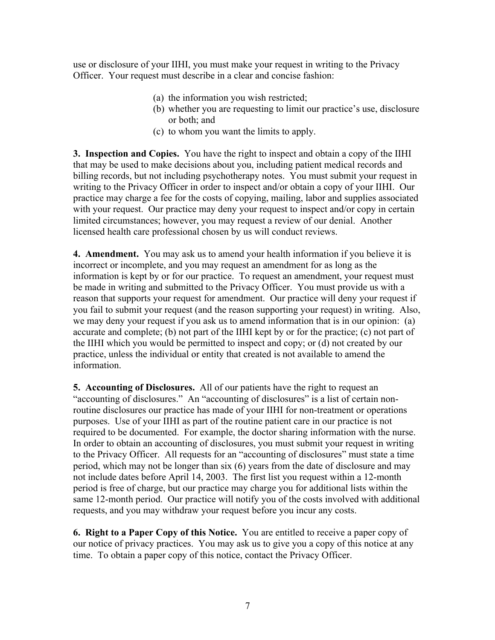use or disclosure of your IIHI, you must make your request in writing to the Privacy Officer. Your request must describe in a clear and concise fashion:

- (a) the information you wish restricted;
- (b) whether you are requesting to limit our practice's use, disclosure or both; and
- (c) to whom you want the limits to apply.

**3. Inspection and Copies.** You have the right to inspect and obtain a copy of the IIHI that may be used to make decisions about you, including patient medical records and billing records, but not including psychotherapy notes. You must submit your request in writing to the Privacy Officer in order to inspect and/or obtain a copy of your IIHI. Our practice may charge a fee for the costs of copying, mailing, labor and supplies associated with your request. Our practice may deny your request to inspect and/or copy in certain limited circumstances; however, you may request a review of our denial. Another licensed health care professional chosen by us will conduct reviews.

**4. Amendment.** You may ask us to amend your health information if you believe it is incorrect or incomplete, and you may request an amendment for as long as the information is kept by or for our practice. To request an amendment, your request must be made in writing and submitted to the Privacy Officer. You must provide us with a reason that supports your request for amendment. Our practice will deny your request if you fail to submit your request (and the reason supporting your request) in writing. Also, we may deny your request if you ask us to amend information that is in our opinion: (a) accurate and complete; (b) not part of the IIHI kept by or for the practice; (c) not part of the IIHI which you would be permitted to inspect and copy; or (d) not created by our practice, unless the individual or entity that created is not available to amend the information.

**5. Accounting of Disclosures.** All of our patients have the right to request an "accounting of disclosures." An "accounting of disclosures" is a list of certain nonroutine disclosures our practice has made of your IIHI for non-treatment or operations purposes. Use of your IIHI as part of the routine patient care in our practice is not required to be documented. For example, the doctor sharing information with the nurse. In order to obtain an accounting of disclosures, you must submit your request in writing to the Privacy Officer. All requests for an "accounting of disclosures" must state a time period, which may not be longer than six (6) years from the date of disclosure and may not include dates before April 14, 2003. The first list you request within a 12-month period is free of charge, but our practice may charge you for additional lists within the same 12-month period. Our practice will notify you of the costs involved with additional requests, and you may withdraw your request before you incur any costs.

**6. Right to a Paper Copy of this Notice.** You are entitled to receive a paper copy of our notice of privacy practices. You may ask us to give you a copy of this notice at any time. To obtain a paper copy of this notice, contact the Privacy Officer.